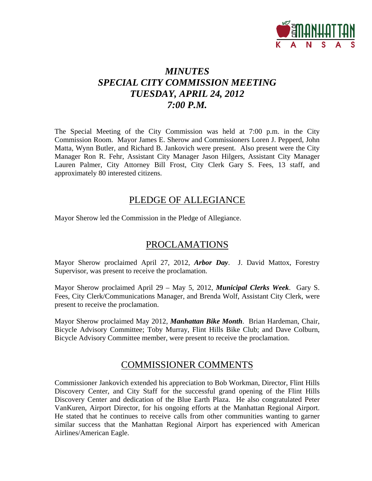

# *MINUTES SPECIAL CITY COMMISSION MEETING TUESDAY, APRIL 24, 2012 7:00 P.M.*

The Special Meeting of the City Commission was held at 7:00 p.m. in the City Commission Room. Mayor James E. Sherow and Commissioners Loren J. Pepperd, John Matta, Wynn Butler, and Richard B. Jankovich were present. Also present were the City Manager Ron R. Fehr, Assistant City Manager Jason Hilgers, Assistant City Manager Lauren Palmer, City Attorney Bill Frost, City Clerk Gary S. Fees, 13 staff, and approximately 80 interested citizens.

# PLEDGE OF ALLEGIANCE

Mayor Sherow led the Commission in the Pledge of Allegiance.

# PROCLAMATIONS

Mayor Sherow proclaimed April 27, 2012, *Arbor Day*. J. David Mattox, Forestry Supervisor, was present to receive the proclamation.

Mayor Sherow proclaimed April 29 – May 5, 2012, *Municipal Clerks Week*. Gary S. Fees, City Clerk/Communications Manager, and Brenda Wolf, Assistant City Clerk, were present to receive the proclamation.

Mayor Sherow proclaimed May 2012, *Manhattan Bike Month*. Brian Hardeman, Chair, Bicycle Advisory Committee; Toby Murray, Flint Hills Bike Club; and Dave Colburn, Bicycle Advisory Committee member, were present to receive the proclamation.

# COMMISSIONER COMMENTS

Commissioner Jankovich extended his appreciation to Bob Workman, Director, Flint Hills Discovery Center, and City Staff for the successful grand opening of the Flint Hills Discovery Center and dedication of the Blue Earth Plaza. He also congratulated Peter VanKuren, Airport Director, for his ongoing efforts at the Manhattan Regional Airport. He stated that he continues to receive calls from other communities wanting to garner similar success that the Manhattan Regional Airport has experienced with American Airlines/American Eagle.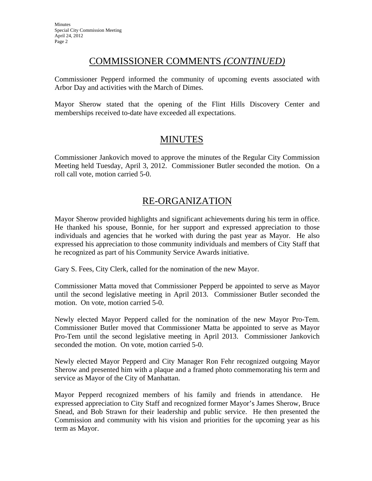# COMMISSIONER COMMENTS *(CONTINUED)*

Commissioner Pepperd informed the community of upcoming events associated with Arbor Day and activities with the March of Dimes.

Mayor Sherow stated that the opening of the Flint Hills Discovery Center and memberships received to-date have exceeded all expectations.

# MINUTES

Commissioner Jankovich moved to approve the minutes of the Regular City Commission Meeting held Tuesday, April 3, 2012. Commissioner Butler seconded the motion. On a roll call vote, motion carried 5-0.

# RE-ORGANIZATION

Mayor Sherow provided highlights and significant achievements during his term in office. He thanked his spouse, Bonnie, for her support and expressed appreciation to those individuals and agencies that he worked with during the past year as Mayor. He also expressed his appreciation to those community individuals and members of City Staff that he recognized as part of his Community Service Awards initiative.

Gary S. Fees, City Clerk, called for the nomination of the new Mayor.

Commissioner Matta moved that Commissioner Pepperd be appointed to serve as Mayor until the second legislative meeting in April 2013. Commissioner Butler seconded the motion. On vote, motion carried 5-0.

Newly elected Mayor Pepperd called for the nomination of the new Mayor Pro-Tem. Commissioner Butler moved that Commissioner Matta be appointed to serve as Mayor Pro-Tem until the second legislative meeting in April 2013. Commissioner Jankovich seconded the motion. On vote, motion carried 5-0.

Newly elected Mayor Pepperd and City Manager Ron Fehr recognized outgoing Mayor Sherow and presented him with a plaque and a framed photo commemorating his term and service as Mayor of the City of Manhattan.

Mayor Pepperd recognized members of his family and friends in attendance. He expressed appreciation to City Staff and recognized former Mayor's James Sherow, Bruce Snead, and Bob Strawn for their leadership and public service. He then presented the Commission and community with his vision and priorities for the upcoming year as his term as Mayor.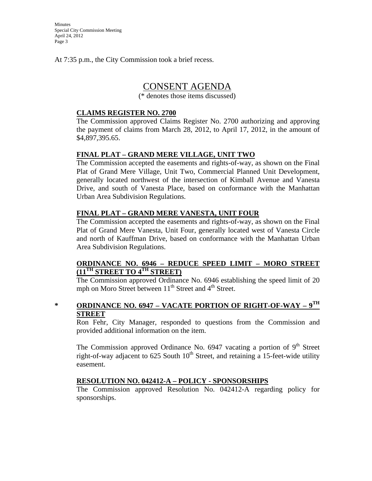Minutes Special City Commission Meeting April 24, 2012 Page 3

At 7:35 p.m., the City Commission took a brief recess.

## CONSENT AGENDA

(\* denotes those items discussed)

#### **CLAIMS REGISTER NO. 2700**

The Commission approved Claims Register No. 2700 authorizing and approving the payment of claims from March 28, 2012, to April 17, 2012, in the amount of \$4,897,395.65.

#### **FINAL PLAT – GRAND MERE VILLAGE, UNIT TWO**

The Commission accepted the easements and rights-of-way, as shown on the Final Plat of Grand Mere Village, Unit Two, Commercial Planned Unit Development, generally located northwest of the intersection of Kimball Avenue and Vanesta Drive, and south of Vanesta Place, based on conformance with the Manhattan Urban Area Subdivision Regulations.

#### **FINAL PLAT – GRAND MERE VANESTA, UNIT FOUR**

The Commission accepted the easements and rights-of-way, as shown on the Final Plat of Grand Mere Vanesta, Unit Four, generally located west of Vanesta Circle and north of Kauffman Drive, based on conformance with the Manhattan Urban Area Subdivision Regulations.

#### **ORDINANCE NO. 6946 – REDUCE SPEED LIMIT – MORO STREET (11TH STREET TO 4TH STREET)**

The Commission approved Ordinance No. 6946 establishing the speed limit of 20 mph on Moro Street between 11<sup>th</sup> Street and 4<sup>th</sup> Street.

### **\* ORDINANCE NO. 6947 – VACATE PORTION OF RIGHT-OF-WAY – 9TH STREET**

Ron Fehr, City Manager, responded to questions from the Commission and provided additional information on the item.

The Commission approved Ordinance No. 6947 vacating a portion of  $9<sup>th</sup>$  Street right-of-way adjacent to 625 South  $10^{th}$  Street, and retaining a 15-feet-wide utility easement.

#### **RESOLUTION NO. 042412-A – POLICY - SPONSORSHIPS**

The Commission approved Resolution No. 042412-A regarding policy for sponsorships.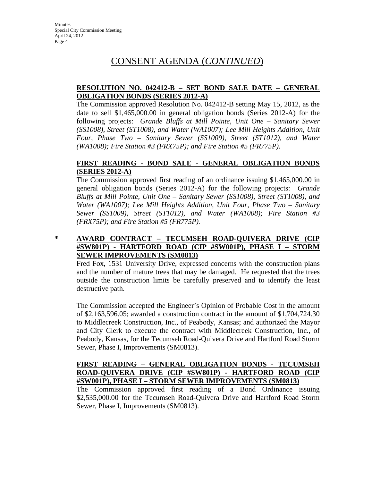# CONSENT AGENDA (*CONTINUED*)

### **RESOLUTION NO. 042412-B – SET BOND SALE DATE – GENERAL OBLIGATION BONDS (SERIES 2012-A)**

The Commission approved Resolution No. 042412-B setting May 15, 2012, as the date to sell \$1,465,000.00 in general obligation bonds (Series 2012-A) for the following projects: *Grande Bluffs at Mill Pointe, Unit One – Sanitary Sewer (SS1008), Street (ST1008), and Water (WA1007); Lee Mill Heights Addition, Unit Four, Phase Two – Sanitary Sewer (SS1009), Street (ST1012), and Water (WA1008); Fire Station #3 (FRX75P); and Fire Station #5 (FR775P).*

### **FIRST READING - BOND SALE - GENERAL OBLIGATION BONDS (SERIES 2012-A)**

The Commission approved first reading of an ordinance issuing \$1,465,000.00 in general obligation bonds (Series 2012-A) for the following projects: *Grande Bluffs at Mill Pointe, Unit One – Sanitary Sewer (SS1008), Street (ST1008), and Water (WA1007); Lee Mill Heights Addition, Unit Four, Phase Two – Sanitary Sewer (SS1009), Street (ST1012), and Water (WA1008); Fire Station #3 (FRX75P); and Fire Station #5 (FR775P).*

### **\* AWARD CONTRACT – TECUMSEH ROAD-QUIVERA DRIVE (CIP #SW801P) - HARTFORD ROAD (CIP #SW001P), PHASE I – STORM SEWER IMPROVEMENTS (SM0813)**

Fred Fox, 1531 University Drive, expressed concerns with the construction plans and the number of mature trees that may be damaged. He requested that the trees outside the construction limits be carefully preserved and to identify the least destructive path.

The Commission accepted the Engineer's Opinion of Probable Cost in the amount of \$2,163,596.05; awarded a construction contract in the amount of \$1,704,724.30 to Middlecreek Construction, Inc., of Peabody, Kansas; and authorized the Mayor and City Clerk to execute the contract with Middlecreek Construction, Inc., of Peabody, Kansas, for the Tecumseh Road-Quivera Drive and Hartford Road Storm Sewer, Phase I, Improvements (SM0813).

#### **FIRST READING – GENERAL OBLIGATION BONDS - TECUMSEH ROAD-QUIVERA DRIVE (CIP #SW801P) - HARTFORD ROAD (CIP #SW001P), PHASE I – STORM SEWER IMPROVEMENTS (SM0813)**

The Commission approved first reading of a Bond Ordinance issuing \$2,535,000.00 for the Tecumseh Road-Quivera Drive and Hartford Road Storm Sewer, Phase I, Improvements (SM0813).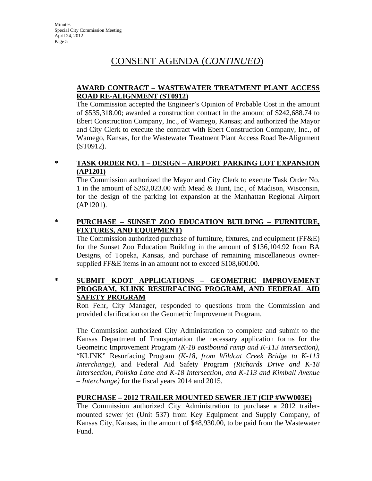# CONSENT AGENDA (*CONTINUED*)

### **AWARD CONTRACT – WASTEWATER TREATMENT PLANT ACCESS ROAD RE-ALIGNMENT (ST0912)**

The Commission accepted the Engineer's Opinion of Probable Cost in the amount of \$535,318.00; awarded a construction contract in the amount of \$242,688.74 to Ebert Construction Company, Inc., of Wamego, Kansas; and authorized the Mayor and City Clerk to execute the contract with Ebert Construction Company, Inc., of Wamego, Kansas, for the Wastewater Treatment Plant Access Road Re-Alignment (ST0912).

### **\* TASK ORDER NO. 1 – DESIGN – AIRPORT PARKING LOT EXPANSION (AP1201)**

The Commission authorized the Mayor and City Clerk to execute Task Order No. 1 in the amount of \$262,023.00 with Mead & Hunt, Inc., of Madison, Wisconsin, for the design of the parking lot expansion at the Manhattan Regional Airport (AP1201).

### **\* PURCHASE – SUNSET ZOO EDUCATION BUILDING – FURNITURE, FIXTURES, AND EQUIPMENT)**

The Commission authorized purchase of furniture, fixtures, and equipment (FF&E) for the Sunset Zoo Education Building in the amount of \$136,104.92 from BA Designs, of Topeka, Kansas, and purchase of remaining miscellaneous ownersupplied FF&E items in an amount not to exceed \$108,600.00.

### **\* SUBMIT KDOT APPLICATIONS – GEOMETRIC IMPROVEMENT PROGRAM, KLINK RESURFACING PROGRAM, AND FEDERAL AID SAFETY PROGRAM**

Ron Fehr, City Manager, responded to questions from the Commission and provided clarification on the Geometric Improvement Program.

The Commission authorized City Administration to complete and submit to the Kansas Department of Transportation the necessary application forms for the Geometric Improvement Program *(K-18 eastbound ramp and K-113 intersection)*, "KLINK" Resurfacing Program *(K-18, from Wildcat Creek Bridge to K-113 Interchange)*, and Federal Aid Safety Program *(Richards Drive and K-18 Intersection, Poliska Lane and K-18 Intersection, and K-113 and Kimball Avenue – Interchange)* for the fiscal years 2014 and 2015.

### **PURCHASE – 2012 TRAILER MOUNTED SEWER JET (CIP #WW003E)**

The Commission authorized City Administration to purchase a 2012 trailermounted sewer jet (Unit 537) from Key Equipment and Supply Company, of Kansas City, Kansas, in the amount of \$48,930.00, to be paid from the Wastewater Fund.